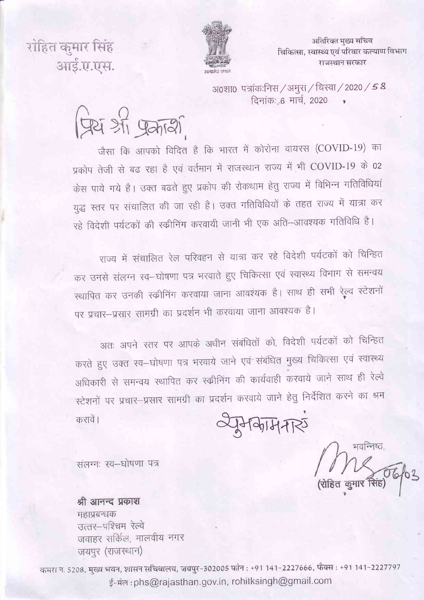अतिरिक्त मुख्य सचिव चिकित्सा, स्वास्थ्य एवं परिवार कल्याण विभाग राजस्थान सरकार



रोहित कमार सिंह आई.ए.एस.

> अ0शा0 पत्रांकःनिस / अमुस / चिस्वा / 2020 / 5 8 दिनांक: 6 मार्च, 2020

प्रियं औ प्रकारी

जैसा कि आपको विदित है कि भारत में कोरोना वायरस (COVID-19) का प्रकोप तेजी से बढ रहा है एवं वर्तमान में राजस्थान राज्य में भी COVID-19 के 02 केस पाये गये है। उक्त बढते हुए प्रकोप की रोकथाम हेतु राज्य में विभिन्न गतिविधियां युद्ध स्तर पर संचालित की जा रही है। उक्त गतिविधियों के तहत राज्य में यात्रा कर रहे विदेशी पर्यटकों की स्क्रीनिंग करवायी जानी भी एक अति–आवश्यक गतिविधि है।

राज्य में संचालित रेल परिवहन से यात्रा कर रहे विदेशी पर्यटकों को चिन्हित कर उनसे संलग्न स्व–घोषणा पत्र भरवाते हुए चिकित्सा एवं स्वास्थ्य विभाग से समन्वय स्थापित कर उनकी स्क्रीनिंग करवाया जाना आंवश्यक है। साथ ही सभी रेल्व स्टेशनों पर प्रचार-प्रसार सामग्री का प्रदर्शन भी करवाया जाना आवश्यक है।

अतः अपने स्तर पर आपके अधीन संबंधितों को, विदेशी पर्यटकों को चिन्हित करते हुए उक्त स्व–घोषणा पत्र भरवाये जाने एवं संबंधित मुख्य चिकित्सा एवं स्वास्थ्य अधिकारी से समन्वय स्थापित कर स्कीनिंग की कार्यवाही करवाये जाने साथ ही रेल्वे स्टेशनों पर प्रचार-प्रसार सामग्री का प्रदर्शन करवाये जाने हेतु निर्देशित करने का श्रम

 $H = H - H$ 

भवन्निष्ठ,

संलग्नः स्व-घोषणा पत्र

करावें।

श्री आनन्द प्रकाश महाप्रबन्धक उत्तर-पश्चिम रेल्वे जवाहर सर्किल, मालवीय नगर जयपुर (राजस्थान)

कमरा न. 5208, मुख्य भवन, शासन सचिवालय, जयपुर-302005 फोन : +91 141-2227666, फैक्स : +91 141-2227797 ई-मेल: phs@rajasthan.gov.in, rohitksingh@gmail.com